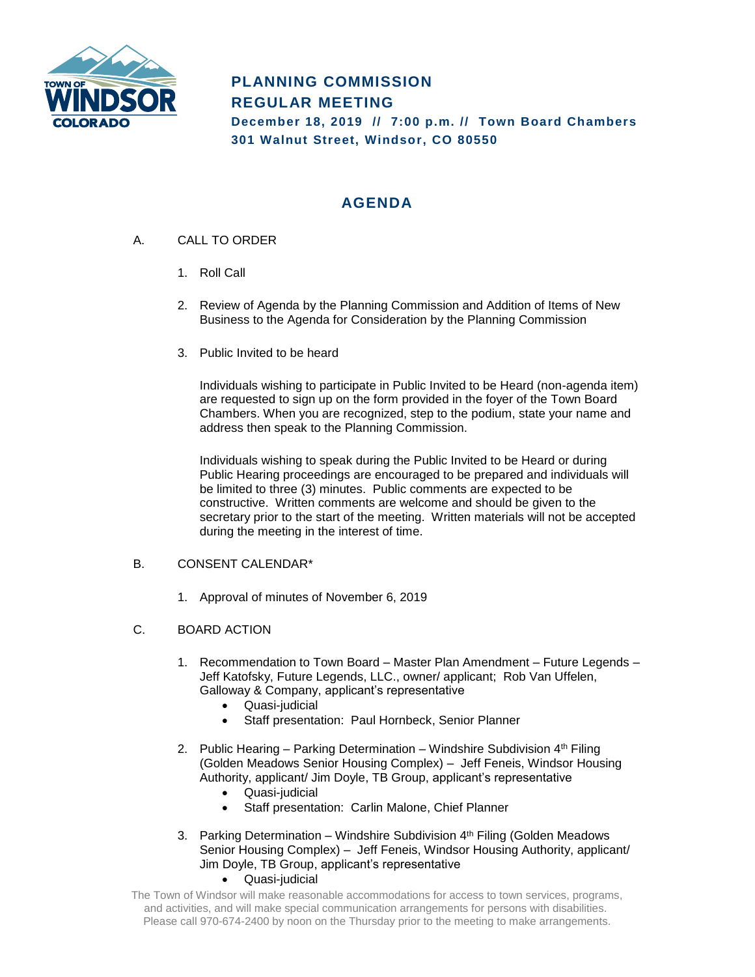

# **PLANNING COMMISSION REGULAR MEETING**

**December 18, 2019 // 7:00 p.m. // Town Board Chambers 301 Walnut Street, Windsor, CO 80550**

# **AGENDA**

- A. CALL TO ORDER
	- 1. Roll Call
	- 2. Review of Agenda by the Planning Commission and Addition of Items of New Business to the Agenda for Consideration by the Planning Commission
	- 3. Public Invited to be heard

Individuals wishing to participate in Public Invited to be Heard (non-agenda item) are requested to sign up on the form provided in the foyer of the Town Board Chambers. When you are recognized, step to the podium, state your name and address then speak to the Planning Commission.

Individuals wishing to speak during the Public Invited to be Heard or during Public Hearing proceedings are encouraged to be prepared and individuals will be limited to three (3) minutes. Public comments are expected to be constructive. Written comments are welcome and should be given to the secretary prior to the start of the meeting. Written materials will not be accepted during the meeting in the interest of time.

## B. CONSENT CALENDAR\*

1. Approval of minutes of November 6, 2019

## C. BOARD ACTION

- 1. Recommendation to Town Board Master Plan Amendment Future Legends Jeff Katofsky, Future Legends, LLC., owner/ applicant; Rob Van Uffelen, Galloway & Company, applicant's representative
	- Quasi-judicial
	- Staff presentation: Paul Hornbeck, Senior Planner
- 2. Public Hearing Parking Determination Windshire Subdivision 4th Filing (Golden Meadows Senior Housing Complex) – Jeff Feneis, Windsor Housing Authority, applicant/ Jim Doyle, TB Group, applicant's representative
	- Quasi-judicial
	- Staff presentation: Carlin Malone, Chief Planner
- 3. Parking Determination Windshire Subdivision 4<sup>th</sup> Filing (Golden Meadows) Senior Housing Complex) – Jeff Feneis, Windsor Housing Authority, applicant/ Jim Doyle, TB Group, applicant's representative
	- Quasi-judicial
- The Town of Windsor will make reasonable accommodations for access to town services, programs, and activities, and will make special communication arrangements for persons with disabilities. Please call 970-674-2400 by noon on the Thursday prior to the meeting to make arrangements.